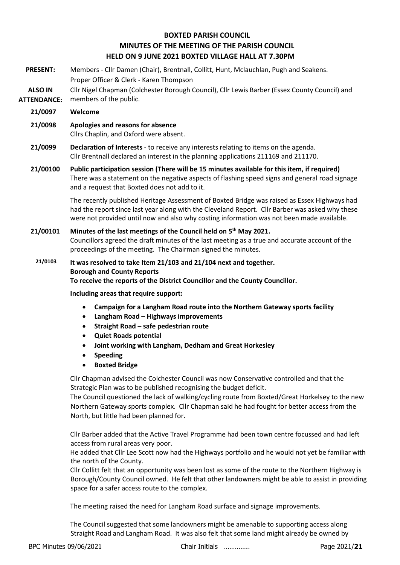# **BOXTED PARISH COUNCIL MINUTES OF THE MEETING OF THE PARISH COUNCIL HELD ON 9 JUNE 2021 BOXTED VILLAGE HALL AT 7.30PM**

- **PRESENT:** Members Cllr Damen (Chair), Brentnall, Collitt, Hunt, Mclauchlan, Pugh and Seakens. Proper Officer & Clerk - Karen Thompson
- **ALSO IN ATTENDANCE:** Cllr Nigel Chapman (Colchester Borough Council), Cllr Lewis Barber (Essex County Council) and members of the public.
	- **21/0097 Welcome**
	- **21/0098 Apologies and reasons for absence**

Cllrs Chaplin, and Oxford were absent.

- **21/0099 Declaration of Interests** to receive any interests relating to items on the agenda. Cllr Brentnall declared an interest in the planning applications 211169 and 211170.
- **21/00100 Public participation session (There will be 15 minutes available for this item, if required)** There was a statement on the negative aspects of flashing speed signs and general road signage and a request that Boxted does not add to it.

The recently published Heritage Assessment of Boxted Bridge was raised as Essex Highways had had the report since last year along with the Cleveland Report. Cllr Barber was asked why these were not provided until now and also why costing information was not been made available.

**21/00101 Minutes of the last meetings of the Council held on 5 th May 2021.** Councillors agreed the draft minutes of the last meeting as a true and accurate account of the proceedings of the meeting. The Chairman signed the minutes.

**21/0103 It was resolved to take Item 21/103 and 21/104 next and together. Borough and County Reports To receive the reports of the District Councillor and the County Councillor.**

**Including areas that require support:**

- **Campaign for a Langham Road route into the Northern Gateway sports facility**
- **Langham Road – Highways improvements**
- **Straight Road – safe pedestrian route**
- **Quiet Roads potential**
- **Joint working with Langham, Dedham and Great Horkesley**
- **Speeding**
- **Boxted Bridge**

Cllr Chapman advised the Colchester Council was now Conservative controlled and that the Strategic Plan was to be published recognising the budget deficit.

The Council questioned the lack of walking/cycling route from Boxted/Great Horkelsey to the new Northern Gateway sports complex. Cllr Chapman said he had fought for better access from the North, but little had been planned for.

Cllr Barber added that the Active Travel Programme had been town centre focussed and had left access from rural areas very poor.

He added that Cllr Lee Scott now had the Highways portfolio and he would not yet be familiar with the north of the County.

Cllr Collitt felt that an opportunity was been lost as some of the route to the Northern Highway is Borough/County Council owned. He felt that other landowners might be able to assist in providing space for a safer access route to the complex.

The meeting raised the need for Langham Road surface and signage improvements.

The Council suggested that some landowners might be amenable to supporting access along Straight Road and Langham Road. It was also felt that some land might already be owned by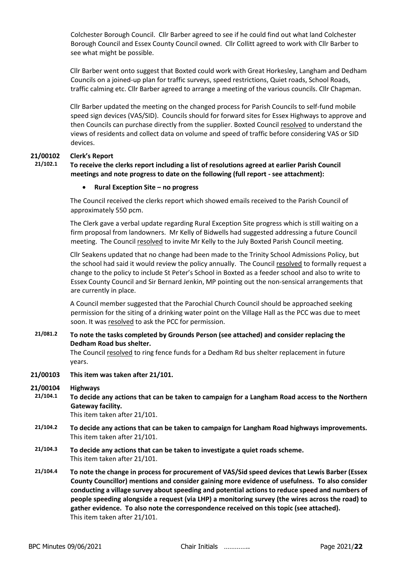Colchester Borough Council. Cllr Barber agreed to see if he could find out what land Colchester Borough Council and Essex County Council owned. Cllr Collitt agreed to work with Cllr Barber to see what might be possible.

Cllr Barber went onto suggest that Boxted could work with Great Horkesley, Langham and Dedham Councils on a joined-up plan for traffic surveys, speed restrictions, Quiet roads, School Roads, traffic calming etc. Cllr Barber agreed to arrange a meeting of the various councils. Cllr Chapman.

Cllr Barber updated the meeting on the changed process for Parish Councils to self-fund mobile speed sign devices (VAS/SID). Councils should for forward sites for Essex Highways to approve and then Councils can purchase directly from the supplier. Boxted Council resolved to understand the views of residents and collect data on volume and speed of traffic before considering VAS or SID devices.

## **21/00102 Clerk's Report**

## **21/102.1 To receive the clerks report including a list of resolutions agreed at earlier Parish Council meetings and note progress to date on the following (full report - see attachment):**

### • **Rural Exception Site – no progress**

The Council received the clerks report which showed emails received to the Parish Council of approximately 550 pcm.

The Clerk gave a verbal update regarding Rural Exception Site progress which is still waiting on a firm proposal from landowners. Mr Kelly of Bidwells had suggested addressing a future Council meeting. The Council resolved to invite Mr Kelly to the July Boxted Parish Council meeting.

Cllr Seakens updated that no change had been made to the Trinity School Admissions Policy, but the school had said it would review the policy annually. The Council resolved to formally request a change to the policy to include St Peter's School in Boxted as a feeder school and also to write to Essex County Council and Sir Bernard Jenkin, MP pointing out the non-sensical arrangements that are currently in place.

A Council member suggested that the Parochial Church Council should be approached seeking permission for the siting of a drinking water point on the Village Hall as the PCC was due to meet soon. It was resolved to ask the PCC for permission.

## **21/081.2 To note the tasks completed by Grounds Person (see attached) and consider replacing the Dedham Road bus shelter.**

The Council resolved to ring fence funds for a Dedham Rd bus shelter replacement in future years.

### **21/00103 This item was taken after 21/101.**

**21/00104 Highways**

**21/104.1 To decide any actions that can be taken to campaign for a Langham Road access to the Northern Gateway facility.**

This item taken after 21/101.

- **21/104.2 To decide any actions that can be taken to campaign for Langham Road highways improvements.** This item taken after 21/101.
- **21/104.3 To decide any actions that can be taken to investigate a quiet roads scheme.** This item taken after 21/101.
- **21/104.4 To note the change in process for procurement of VAS/Sid speed devices that Lewis Barber (Essex County Councillor) mentions and consider gaining more evidence of usefulness. To also consider conducting a village survey about speeding and potential actions to reduce speed and numbers of people speeding alongside a request (via LHP) a monitoring survey (the wires across the road) to gather evidence. To also note the correspondence received on this topic (see attached).** This item taken after 21/101.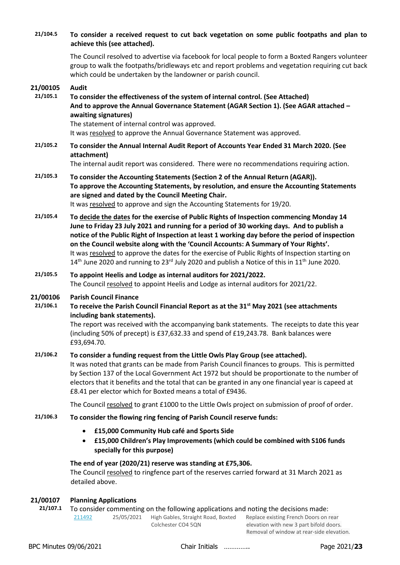| 21/104.5             | To consider a received request to cut back vegetation on some public footpaths and plan to<br>achieve this (see attached).                                                                                                                                                                                                                                                                                                                                                                                                                                                                                    |  |  |
|----------------------|---------------------------------------------------------------------------------------------------------------------------------------------------------------------------------------------------------------------------------------------------------------------------------------------------------------------------------------------------------------------------------------------------------------------------------------------------------------------------------------------------------------------------------------------------------------------------------------------------------------|--|--|
|                      | The Council resolved to advertise via facebook for local people to form a Boxted Rangers volunteer<br>group to walk the footpaths/bridleways etc and report problems and vegetation requiring cut back<br>which could be undertaken by the landowner or parish council.                                                                                                                                                                                                                                                                                                                                       |  |  |
| 21/00105<br>21/105.1 | <b>Audit</b><br>To consider the effectiveness of the system of internal control. (See Attached)<br>And to approve the Annual Governance Statement (AGAR Section 1). (See AGAR attached -<br>awaiting signatures)<br>The statement of internal control was approved.<br>It was resolved to approve the Annual Governance Statement was approved.                                                                                                                                                                                                                                                               |  |  |
| 21/105.2             | To consider the Annual Internal Audit Report of Accounts Year Ended 31 March 2020. (See<br>attachment)<br>The internal audit report was considered. There were no recommendations requiring action.                                                                                                                                                                                                                                                                                                                                                                                                           |  |  |
| 21/105.3             | To consider the Accounting Statements (Section 2 of the Annual Return (AGAR)).<br>To approve the Accounting Statements, by resolution, and ensure the Accounting Statements<br>are signed and dated by the Council Meeting Chair.<br>It was resolved to approve and sign the Accounting Statements for 19/20.                                                                                                                                                                                                                                                                                                 |  |  |
| 21/105.4             | To decide the dates for the exercise of Public Rights of Inspection commencing Monday 14<br>June to Friday 23 July 2021 and running for a period of 30 working days. And to publish a<br>notice of the Public Right of Inspection at least 1 working day before the period of inspection<br>on the Council website along with the 'Council Accounts: A Summary of Your Rights'.<br>It was resolved to approve the dates for the exercise of Public Rights of Inspection starting on<br>$14th$ June 2020 and running to 23 <sup>rd</sup> July 2020 and publish a Notice of this in 11 <sup>th</sup> June 2020. |  |  |
| 21/105.5             | To appoint Heelis and Lodge as internal auditors for 2021/2022.<br>The Council resolved to appoint Heelis and Lodge as internal auditors for 2021/22.                                                                                                                                                                                                                                                                                                                                                                                                                                                         |  |  |
| 21/00106<br>21/106.1 | <b>Parish Council Finance</b><br>To receive the Parish Council Financial Report as at the 31 <sup>st</sup> May 2021 (see attachments<br>including bank statements).<br>The report was received with the accompanying bank statements. The receipts to date this year<br>(including 50% of precept) is £37,632.33 and spend of £19,243.78. Bank balances were<br>£93,694.70.                                                                                                                                                                                                                                   |  |  |
| 21/106.2             | To consider a funding request from the Little Owls Play Group (see attached).<br>It was noted that grants can be made from Parish Council finances to groups. This is permitted<br>by Section 137 of the Local Government Act 1972 but should be proportionate to the number of<br>electors that it benefits and the total that can be granted in any one financial year is capeed at<br>£8.41 per elector which for Boxted means a total of £9436.                                                                                                                                                           |  |  |
|                      | The Council resolved to grant £1000 to the Little Owls project on submission of proof of order.                                                                                                                                                                                                                                                                                                                                                                                                                                                                                                               |  |  |
| 21/106.3             | To consider the flowing ring fencing of Parish Council reserve funds:                                                                                                                                                                                                                                                                                                                                                                                                                                                                                                                                         |  |  |
|                      | £15,000 Community Hub café and Sports Side<br>$\bullet$<br>£15,000 Children's Play Improvements (which could be combined with S106 funds<br>$\bullet$<br>specially for this purpose)                                                                                                                                                                                                                                                                                                                                                                                                                          |  |  |
|                      | The end of year (2020/21) reserve was standing at £75,306.<br>The Council resolved to ringfence part of the reserves carried forward at 31 March 2021 as<br>detailed above.                                                                                                                                                                                                                                                                                                                                                                                                                                   |  |  |
| 21/00107<br>21/107.1 | <b>Planning Applications</b><br>To consider commenting on the following applications and noting the decisions made:<br>211492<br>25/05/2021<br>High Gables, Straight Road, Boxted<br>Replace existing French Doors on rear                                                                                                                                                                                                                                                                                                                                                                                    |  |  |

Colchester CO4 5QN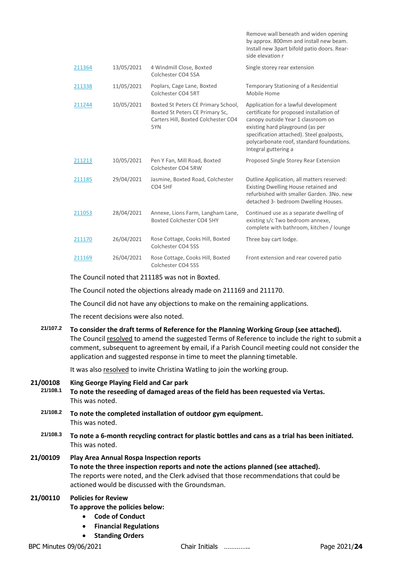|        |            |                                                                                                                      | Remove wall beneath and widen opening<br>by approx. 800mm and install new beam.<br>Install new 3part bifold patio doors. Rear-<br>side elevation r                                                                                                                           |
|--------|------------|----------------------------------------------------------------------------------------------------------------------|------------------------------------------------------------------------------------------------------------------------------------------------------------------------------------------------------------------------------------------------------------------------------|
| 211364 | 13/05/2021 | 4 Windmill Close, Boxted<br>Colchester CO4 5SA                                                                       | Single storey rear extension                                                                                                                                                                                                                                                 |
| 211338 | 11/05/2021 | Poplars, Cage Lane, Boxted<br>Colchester CO4 5RT                                                                     | Temporary Stationing of a Residential<br>Mobile Home                                                                                                                                                                                                                         |
| 211244 | 10/05/2021 | Boxted St Peters CE Primary School,<br>Boxted St Peters CE Primary Sc,<br>Carters Hill, Boxted Colchester CO4<br>5YN | Application for a lawful development<br>certificate for proposed installation of<br>canopy outside Year 1 classroom on<br>existing hard playground (as per<br>specification attached). Steel goalposts,<br>polycarbonate roof, standard foundations.<br>Integral guttering a |
| 211213 | 10/05/2021 | Pen Y Fan, Mill Road, Boxted<br>Colchester CO4 5RW                                                                   | Proposed Single Storey Rear Extension                                                                                                                                                                                                                                        |
| 211185 | 29/04/2021 | Jasmine, Boxted Road, Colchester<br><b>CO4 5HF</b>                                                                   | Outline Application, all matters reserved:<br>Existing Dwelling House retained and<br>refurbished with smaller Garden, 3No. new<br>detached 3- bedroom Dwelling Houses.                                                                                                      |
| 211053 | 28/04/2021 | Annexe, Lions Farm, Langham Lane,<br>Boxted Colchester CO4 5HY                                                       | Continued use as a separate dwelling of<br>existing s/c Two bedroom annexe,<br>complete with bathroom, kitchen / lounge                                                                                                                                                      |
| 211170 | 26/04/2021 | Rose Cottage, Cooks Hill, Boxted<br>Colchester CO4 5SS                                                               | Three bay cart lodge.                                                                                                                                                                                                                                                        |
| 211169 | 26/04/2021 | Rose Cottage, Cooks Hill, Boxted<br>Colchester CO4 5SS                                                               | Front extension and rear covered patio                                                                                                                                                                                                                                       |

The Council noted that 211185 was not in Boxted.

The Council noted the objections already made on 211169 and 211170.

The Council did not have any objections to make on the remaining applications.

The recent decisions were also noted.

| 21/107.2             | To consider the draft terms of Reference for the Planning Working Group (see attached).                                                                                                                                                                                        |
|----------------------|--------------------------------------------------------------------------------------------------------------------------------------------------------------------------------------------------------------------------------------------------------------------------------|
|                      | The Council resolved to amend the suggested Terms of Reference to include the right to submit a<br>comment, subsequent to agreement by email, if a Parish Council meeting could not consider the<br>application and suggested response in time to meet the planning timetable. |
|                      | It was also resolved to invite Christina Watling to join the working group.                                                                                                                                                                                                    |
| 21/00108<br>21/108.1 | King George Playing Field and Car park<br>To note the reseeding of damaged areas of the field has been requested via Vertas.<br>This was noted.                                                                                                                                |
| 21/108.2             | To note the completed installation of outdoor gym equipment.<br>This was noted.                                                                                                                                                                                                |
| 21/108.3             | To note a 6-month recycling contract for plastic bottles and cans as a trial has been initiated.<br>This was noted.                                                                                                                                                            |
| 21/00109             | <b>Play Area Annual Rosna Inspection reports</b>                                                                                                                                                                                                                               |

## **21/00109 Play Area Annual Rospa Inspection reports To note the three inspection reports and note the actions planned (see attached).** The reports were noted, and the Clerk advised that those recommendations that could be actioned would be discussed with the Groundsman.

## **21/00110 Policies for Review**

### **To approve the policies below:**

- **Code of Conduct**
- **Financial Regulations**
- **Standing Orders**